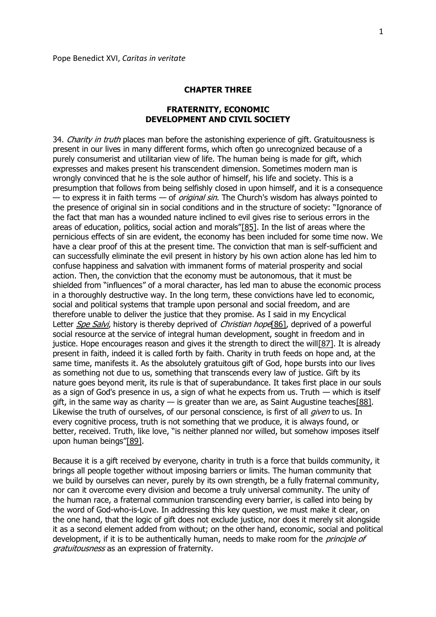## **CHAPTER THREE**

## **FRATERNITY, ECONOMIC DEVELOPMENT AND CIVIL SOCIETY**

34. Charity in truth places man before the astonishing experience of gift. Gratuitousness is present in our lives in many different forms, which often go unrecognized because of a purely consumerist and utilitarian view of life. The human being is made for gift, which expresses and makes present his transcendent dimension. Sometimes modern man is wrongly convinced that he is the sole author of himself, his life and society. This is a presumption that follows from being selfishly closed in upon himself, and it is a consequence — to express it in faith terms — of *original sin*. The Church's wisdom has always pointed to the presence of original sin in social conditions and in the structure of society: "Ignorance of the fact that man has a wounded nature inclined to evil gives rise to serious errors in the areas of education, politics, social action and morals"[\[85\].](http://www.vatican.va/content/benedict-xvi/en/encyclicals/documents/hf_ben-xvi_enc_20090629_caritas-in-veritate.html#_edn85) In the list of areas where the pernicious effects of sin are evident, the economy has been included for some time now. We have a clear proof of this at the present time. The conviction that man is self-sufficient and can successfully eliminate the evil present in history by his own action alone has led him to confuse happiness and salvation with immanent forms of material prosperity and social action. Then, the conviction that the economy must be autonomous, that it must be shielded from "influences" of a moral character, has led man to abuse the economic process in a thoroughly destructive way. In the long term, these convictions have led to economic, social and political systems that trample upon personal and social freedom, and are therefore unable to deliver the justice that they promise. As I said in my Encyclical Letter [Spe Salvi](http://www.vatican.va/content/benedict-xvi/en/encyclicals/documents/hf_ben-xvi_enc_20071130_spe-salvi.html), history is thereby deprived of Christian hope<sup>[86]</sup>, deprived of a powerful social resource at the service of integral human development, sought in freedom and in justice. Hope encourages reason and gives it the strength to direct the wil[l\[87\].](http://www.vatican.va/content/benedict-xvi/en/encyclicals/documents/hf_ben-xvi_enc_20090629_caritas-in-veritate.html#_edn87) It is already present in faith, indeed it is called forth by faith. Charity in truth feeds on hope and, at the same time, manifests it. As the absolutely gratuitous gift of God, hope bursts into our lives as something not due to us, something that transcends every law of justice. Gift by its nature goes beyond merit, its rule is that of superabundance. It takes first place in our souls as a sign of God's presence in us, a sign of what he expects from us. Truth — which is itself gift, in the same way as charity  $-$  is greater than we are, as Saint Augustine teache[s\[88\].](http://www.vatican.va/content/benedict-xvi/en/encyclicals/documents/hf_ben-xvi_enc_20090629_caritas-in-veritate.html#_edn88) Likewise the truth of ourselves, of our personal conscience, is first of all *given* to us. In every cognitive process, truth is not something that we produce, it is always found, or better, received. Truth, like love, "is neither planned nor willed, but somehow imposes itself upon human beings"[\[89\].](http://www.vatican.va/content/benedict-xvi/en/encyclicals/documents/hf_ben-xvi_enc_20090629_caritas-in-veritate.html#_edn89)

Because it is a gift received by everyone, charity in truth is a force that builds community, it brings all people together without imposing barriers or limits. The human community that we build by ourselves can never, purely by its own strength, be a fully fraternal community, nor can it overcome every division and become a truly universal community. The unity of the human race, a fraternal communion transcending every barrier, is called into being by the word of God-who-is-Love. In addressing this key question, we must make it clear, on the one hand, that the logic of gift does not exclude justice, nor does it merely sit alongside it as a second element added from without; on the other hand, economic, social and political development, if it is to be authentically human, needs to make room for the *principle of* gratuitousness as an expression of fraternity.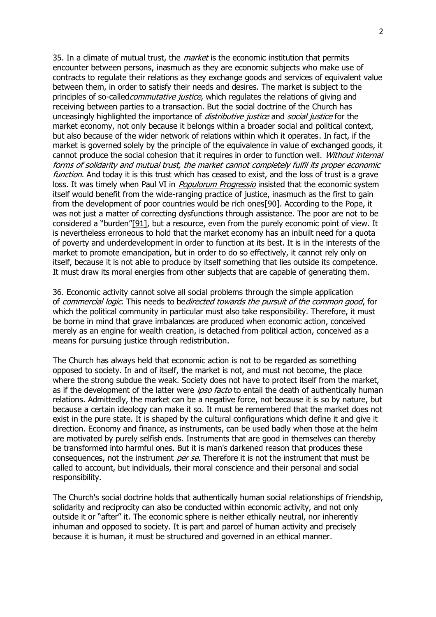35. In a climate of mutual trust, the *market* is the economic institution that permits encounter between persons, inasmuch as they are economic subjects who make use of contracts to regulate their relations as they exchange goods and services of equivalent value between them, in order to satisfy their needs and desires. The market is subject to the principles of so-called *commutative justice*, which regulates the relations of giving and receiving between parties to a transaction. But the social doctrine of the Church has unceasingly highlighted the importance of *distributive justice* and *social justice* for the market economy, not only because it belongs within a broader social and political context, but also because of the wider network of relations within which it operates. In fact, if the market is governed solely by the principle of the equivalence in value of exchanged goods, it cannot produce the social cohesion that it requires in order to function well. Without internal forms of solidarity and mutual trust, the market cannot completely fulfil its proper economic function. And today it is this trust which has ceased to exist, and the loss of trust is a grave loss. It was timely when Paul VI in *[Populorum Progressio](http://www.vatican.va/content/paul-vi/en/encyclicals/documents/hf_p-vi_enc_26031967_populorum.html)* insisted that the economic system itself would benefit from the wide-ranging practice of justice, inasmuch as the first to gain from the development of poor countries would be rich one[s\[90\].](http://www.vatican.va/content/benedict-xvi/en/encyclicals/documents/hf_ben-xvi_enc_20090629_caritas-in-veritate.html#_edn90) According to the Pope, it was not just a matter of correcting dysfunctions through assistance. The poor are not to be considered a "burden"[\[91\],](http://www.vatican.va/content/benedict-xvi/en/encyclicals/documents/hf_ben-xvi_enc_20090629_caritas-in-veritate.html#_edn91) but a resource, even from the purely economic point of view. It is nevertheless erroneous to hold that the market economy has an inbuilt need for a quota of poverty and underdevelopment in order to function at its best. It is in the interests of the market to promote emancipation, but in order to do so effectively, it cannot rely only on itself, because it is not able to produce by itself something that lies outside its competence. It must draw its moral energies from other subjects that are capable of generating them.

36. Economic activity cannot solve all social problems through the simple application of commercial logic. This needs to bedirected towards the pursuit of the common good, for which the political community in particular must also take responsibility. Therefore, it must be borne in mind that grave imbalances are produced when economic action, conceived merely as an engine for wealth creation, is detached from political action, conceived as a means for pursuing justice through redistribution.

The Church has always held that economic action is not to be regarded as something opposed to society. In and of itself, the market is not, and must not become, the place where the strong subdue the weak. Society does not have to protect itself from the market, as if the development of the latter were *ipso facto* to entail the death of authentically human relations. Admittedly, the market can be a negative force, not because it is so by nature, but because a certain ideology can make it so. It must be remembered that the market does not exist in the pure state. It is shaped by the cultural configurations which define it and give it direction. Economy and finance, as instruments, can be used badly when those at the helm are motivated by purely selfish ends. Instruments that are good in themselves can thereby be transformed into harmful ones. But it is man's darkened reason that produces these consequences, not the instrument *per se*. Therefore it is not the instrument that must be called to account, but individuals, their moral conscience and their personal and social responsibility.

The Church's social doctrine holds that authentically human social relationships of friendship, solidarity and reciprocity can also be conducted within economic activity, and not only outside it or "after" it. The economic sphere is neither ethically neutral, nor inherently inhuman and opposed to society. It is part and parcel of human activity and precisely because it is human, it must be structured and governed in an ethical manner.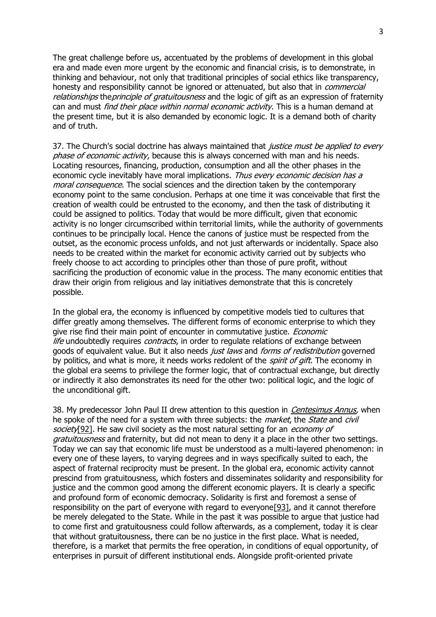The great challenge before us, accentuated by the problems of development in this global era and made even more urgent by the economic and financial crisis, is to demonstrate, in thinking and behaviour, not only that traditional principles of social ethics like transparency, honesty and responsibility cannot be ignored or attenuated, but also that in *commercial* relationships the principle of gratuitousness and the logic of gift as an expression of fraternity can and must *find their place within normal economic activity*. This is a human demand at the present time, but it is also demanded by economic logic. It is a demand both of charity and of truth.

37. The Church's social doctrine has always maintained that *justice must be applied to every* phase of economic activity, because this is always concerned with man and his needs. Locating resources, financing, production, consumption and all the other phases in the economic cycle inevitably have moral implications. Thus every economic decision has a moral consequence. The social sciences and the direction taken by the contemporary economy point to the same conclusion. Perhaps at one time it was conceivable that first the creation of wealth could be entrusted to the economy, and then the task of distributing it could be assigned to politics. Today that would be more difficult, given that economic activity is no longer circumscribed within territorial limits, while the authority of governments continues to be principally local. Hence the canons of justice must be respected from the outset, as the economic process unfolds, and not just afterwards or incidentally. Space also needs to be created within the market for economic activity carried out by subjects who freely choose to act according to principles other than those of pure profit, without sacrificing the production of economic value in the process. The many economic entities that draw their origin from religious and lay initiatives demonstrate that this is concretely possible.

In the global era, the economy is influenced by competitive models tied to cultures that differ greatly among themselves. The different forms of economic enterprise to which they give rise find their main point of encounter in commutative justice. *Economic* life undoubtedly requires *contracts*, in order to requlate relations of exchange between goods of equivalent value. But it also needs just laws and forms of redistribution governed by politics, and what is more, it needs works redolent of the *spirit of gift*. The economy in the global era seems to privilege the former logic, that of contractual exchange, but directly or indirectly it also demonstrates its need for the other two: political logic, and the logic of the unconditional gift.

38. My predecessor John Paul II drew attention to this question in *Centesimus Annus*, when he spoke of the need for a system with three subjects: the *market*, the *State* and *civil* society[\[92\].](http://www.vatican.va/content/benedict-xvi/en/encyclicals/documents/hf_ben-xvi_enc_20090629_caritas-in-veritate.html#_edn92) He saw civil society as the most natural setting for an *economy of* gratuitousness and fraternity, but did not mean to deny it a place in the other two settings. Today we can say that economic life must be understood as a multi-layered phenomenon: in every one of these layers, to varying degrees and in ways specifically suited to each, the aspect of fraternal reciprocity must be present. In the global era, economic activity cannot prescind from gratuitousness, which fosters and disseminates solidarity and responsibility for justice and the common good among the different economic players. It is clearly a specific and profound form of economic democracy. Solidarity is first and foremost a sense of responsibility on the part of everyone with regard to everyone<sup>[93]</sup>, and it cannot therefore be merely delegated to the State. While in the past it was possible to argue that justice had to come first and gratuitousness could follow afterwards, as a complement, today it is clear that without gratuitousness, there can be no justice in the first place. What is needed, therefore, is a market that permits the free operation, in conditions of equal opportunity, of enterprises in pursuit of different institutional ends. Alongside profit-oriented private